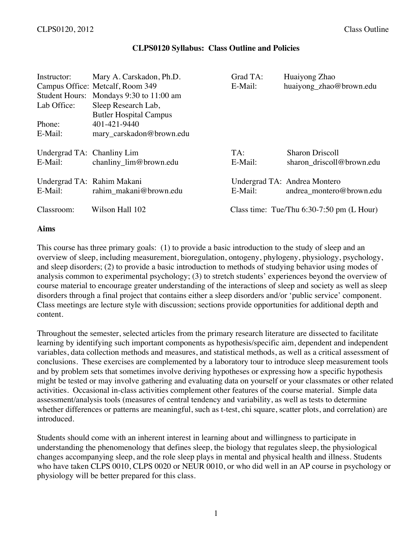#### **CLPS0120 Syllabus: Class Outline and Policies**

| Instructor:                | Mary A. Carskadon, Ph.D.                | Grad TA: | Huaiyong Zhao                               |
|----------------------------|-----------------------------------------|----------|---------------------------------------------|
|                            | Campus Office: Metcalf, Room 349        | E-Mail:  | huaiyong_zhao@brown.edu                     |
|                            | Student Hours: Mondays 9:30 to 11:00 am |          |                                             |
| Lab Office:                | Sleep Research Lab,                     |          |                                             |
|                            | <b>Butler Hospital Campus</b>           |          |                                             |
| Phone:                     | 401-421-9440                            |          |                                             |
| E-Mail:                    | mary_carskadon@brown.edu                |          |                                             |
|                            |                                         |          |                                             |
| Undergrad TA: Chanliny Lim |                                         | TA:      | <b>Sharon Driscoll</b>                      |
| E-Mail:                    | chanliny_lim@brown.edu                  | E-Mail:  | sharon driscoll@brown.edu                   |
|                            |                                         |          |                                             |
| Undergrad TA: Rahim Makani |                                         |          | Undergrad TA: Andrea Montero                |
| E-Mail:                    | rahim makani@brown.edu                  | E-Mail:  | andrea_montero@brown.edu                    |
|                            |                                         |          |                                             |
| Classroom:                 | Wilson Hall 102                         |          | Class time: Tue/Thu $6:30-7:50$ pm (L Hour) |
|                            |                                         |          |                                             |

#### **Aims**

This course has three primary goals: (1) to provide a basic introduction to the study of sleep and an overview of sleep, including measurement, bioregulation, ontogeny, phylogeny, physiology, psychology, and sleep disorders; (2) to provide a basic introduction to methods of studying behavior using modes of analysis common to experimental psychology; (3) to stretch students' experiences beyond the overview of course material to encourage greater understanding of the interactions of sleep and society as well as sleep disorders through a final project that contains either a sleep disorders and/or 'public service' component. Class meetings are lecture style with discussion; sections provide opportunities for additional depth and content.

Throughout the semester, selected articles from the primary research literature are dissected to facilitate learning by identifying such important components as hypothesis/specific aim, dependent and independent variables, data collection methods and measures, and statistical methods, as well as a critical assessment of conclusions. These exercises are complemented by a laboratory tour to introduce sleep measurement tools and by problem sets that sometimes involve deriving hypotheses or expressing how a specific hypothesis might be tested or may involve gathering and evaluating data on yourself or your classmates or other related activities. Occasional in-class activities complement other features of the course material. Simple data assessment/analysis tools (measures of central tendency and variability, as well as tests to determine whether differences or patterns are meaningful, such as t-test, chi square, scatter plots, and correlation) are introduced.

Students should come with an inherent interest in learning about and willingness to participate in understanding the phenomenology that defines sleep, the biology that regulates sleep, the physiological changes accompanying sleep, and the role sleep plays in mental and physical health and illness. Students who have taken CLPS 0010, CLPS 0020 or NEUR 0010, or who did well in an AP course in psychology or physiology will be better prepared for this class.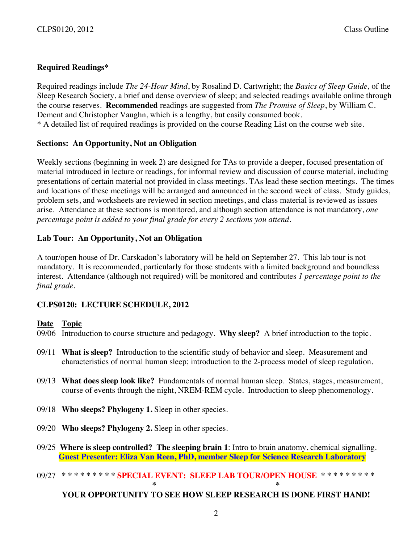# **Required Readings\***

Required readings include *The 24-Hour Mind*, by Rosalind D. Cartwright; the *Basics of Sleep Guide,* of the Sleep Research Society, a brief and dense overview of sleep; and selected readings available online through the course reserves. **Recommended** readings are suggested from *The Promise of Sleep*, by William C. Dement and Christopher Vaughn, which is a lengthy, but easily consumed book. \* A detailed list of required readings is provided on the course Reading List on the course web site.

# **Sections: An Opportunity, Not an Obligation**

Weekly sections (beginning in week 2) are designed for TAs to provide a deeper, focused presentation of material introduced in lecture or readings, for informal review and discussion of course material, including presentations of certain material not provided in class meetings. TAs lead these section meetings. The times and locations of these meetings will be arranged and announced in the second week of class. Study guides, problem sets, and worksheets are reviewed in section meetings, and class material is reviewed as issues arise. Attendance at these sections is monitored, and although section attendance is not mandatory, *one percentage point is added to your final grade for every 2 sections you attend*.

# **Lab Tour: An Opportunity, Not an Obligation**

A tour/open house of Dr. Carskadon's laboratory will be held on September 27. This lab tour is not mandatory. It is recommended, particularly for those students with a limited background and boundless interest. Attendance (although not required) will be monitored and contributes *1 percentage point to the final grade*.

# **CLPS0120: LECTURE SCHEDULE, 2012**

### **Date Topic**

- 09/06 Introduction to course structure and pedagogy. **Why sleep?** A brief introduction to the topic.
- 09/11 **What is sleep?** Introduction to the scientific study of behavior and sleep. Measurement and characteristics of normal human sleep; introduction to the 2-process model of sleep regulation.
- 09/13 **What does sleep look like?** Fundamentals of normal human sleep. States, stages, measurement, course of events through the night, NREM-REM cycle. Introduction to sleep phenomenology.
- 09/18 **Who sleeps? Phylogeny 1.** Sleep in other species.
- 09/20 **Who sleeps? Phylogeny 2.** Sleep in other species.
- 09/25 **Where is sleep controlled? The sleeping brain 1**: Intro to brain anatomy, chemical signalling. **Guest Presenter: Eliza Van Reen, PhD, member Sleep for Science Research Laboratory**

# 09/27 \*\*\*\*\*\*\*\*\* SPECIAL EVENT: SLEEP LAB TOUR/OPEN HOUSE \*\*\*\*\*\*\*\*\*\* **\* \***

# **YOUR OPPORTUNITY TO SEE HOW SLEEP RESEARCH IS DONE FIRST HAND!**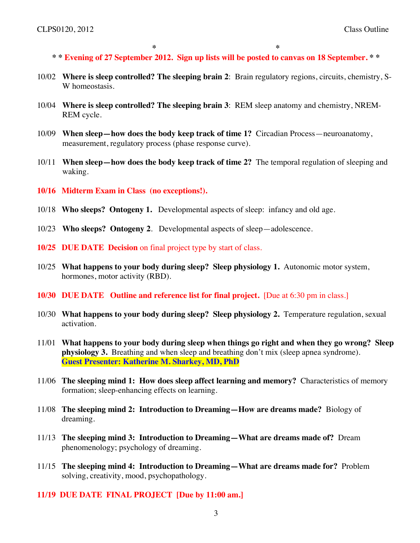**\* \* \* \* Evening of 27 September 2012. Sign up lists will be posted to canvas on 18 September. \* \***

- 10/02 **Where is sleep controlled? The sleeping brain 2**: Brain regulatory regions, circuits, chemistry, S-W homeostasis.
- 10/04 **Where is sleep controlled? The sleeping brain 3**: REM sleep anatomy and chemistry, NREM-REM cycle.
- 10/09 **When sleep—how does the body keep track of time 1?** Circadian Process—neuroanatomy, measurement, regulatory process (phase response curve).
- 10/11 **When sleep—how does the body keep track of time 2?** The temporal regulation of sleeping and waking.
- **10/16 Midterm Exam in Class (no exceptions!).**
- 10/18 **Who sleeps? Ontogeny 1.** Developmental aspects of sleep: infancy and old age.
- 10/23 **Who sleeps? Ontogeny 2**. Developmental aspects of sleep—adolescence.
- **10/25 DUE DATE Decision** on final project type by start of class.
- 10/25 **What happens to your body during sleep? Sleep physiology 1.** Autonomic motor system, hormones, motor activity (RBD).
- **10/30 DUE DATE Outline and reference list for final project.** [Due at 6:30 pm in class.]
- 10/30 **What happens to your body during sleep? Sleep physiology 2.** Temperature regulation, sexual activation.
- 11/01 **What happens to your body during sleep when things go right and when they go wrong? Sleep physiology 3.** Breathing and when sleep and breathing don't mix (sleep apnea syndrome). **Guest Presenter: Katherine M. Sharkey, MD, PhD**
- 11/06 **The sleeping mind 1: How does sleep affect learning and memory?** Characteristics of memory formation; sleep-enhancing effects on learning.
- 11/08 **The sleeping mind 2: Introduction to Dreaming—How are dreams made?** Biology of dreaming.
- 11/13 **The sleeping mind 3: Introduction to Dreaming—What are dreams made of?** Dream phenomenology; psychology of dreaming.
- 11/15 **The sleeping mind 4: Introduction to Dreaming—What are dreams made for?** Problem solving, creativity, mood, psychopathology.
- **11/19 DUE DATE FINAL PROJECT [Due by 11:00 am.]**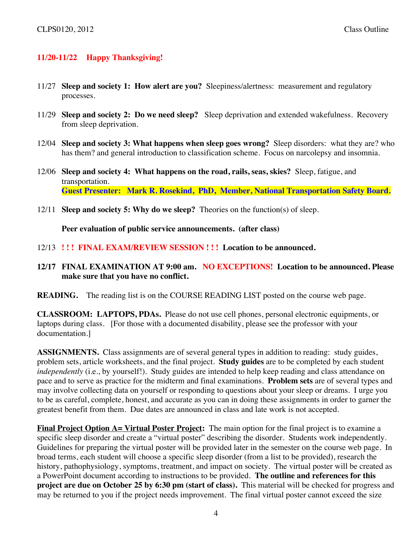# **11/20-11/22 Happy Thanksgiving!**

- 11/27 **Sleep and society 1: How alert are you?** Sleepiness/alertness: measurement and regulatory processes.
- 11/29 **Sleep and society 2: Do we need sleep?** Sleep deprivation and extended wakefulness. Recovery from sleep deprivation.
- 12/04 **Sleep and society 3: What happens when sleep goes wrong?** Sleep disorders: what they are? who has them? and general introduction to classification scheme. Focus on narcolepsy and insomnia.
- 12/06 **Sleep and society 4: What happens on the road, rails, seas, skies?** Sleep, fatigue, and transportation. **Guest Presenter: Mark R. Rosekind, PhD, Member, National Transportation Safety Board.**
- 12/11 **Sleep and society 5: Why do we sleep?** Theories on the function(s) of sleep.

**Peer evaluation of public service announcements. (after class)**

- 12/13 **! ! ! FINAL EXAM/REVIEW SESSION ! ! ! Location to be announced.**
- **12/17 FINAL EXAMINATION AT 9:00 am. NO EXCEPTIONS! Location to be announced. Please make sure that you have no conflict.**

**READING.** The reading list is on the COURSE READING LIST posted on the course web page.

**CLASSROOM: LAPTOPS, PDAs.** Please do not use cell phones, personal electronic equipments, or laptops during class. [For those with a documented disability, please see the professor with your documentation.]

**ASSIGNMENTS.** Class assignments are of several general types in addition to reading: study guides, problem sets, article worksheets, and the final project. **Study guides** are to be completed by each student *independently* (i.e., by yourself!). Study guides are intended to help keep reading and class attendance on pace and to serve as practice for the midterm and final examinations. **Problem sets** are of several types and may involve collecting data on yourself or responding to questions about your sleep or dreams. I urge you to be as careful, complete, honest, and accurate as you can in doing these assignments in order to garner the greatest benefit from them. Due dates are announced in class and late work is not accepted.

**Final Project Option A= Virtual Poster Project:** The main option for the final project is to examine a specific sleep disorder and create a "virtual poster" describing the disorder. Students work independently. Guidelines for preparing the virtual poster will be provided later in the semester on the course web page. In broad terms, each student will choose a specific sleep disorder (from a list to be provided), research the history, pathophysiology, symptoms, treatment, and impact on society. The virtual poster will be created as a PowerPoint document according to instructions to be provided. **The outline and references for this project are due on October 25 by 6:30 pm (start of class).** This material will be checked for progress and may be returned to you if the project needs improvement. The final virtual poster cannot exceed the size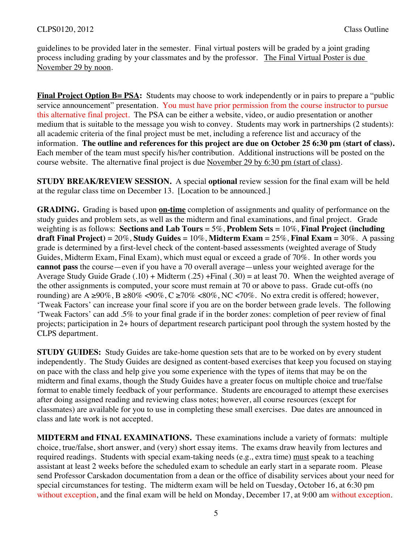guidelines to be provided later in the semester. Final virtual posters will be graded by a joint grading process including grading by your classmates and by the professor. The Final Virtual Poster is due November 29 by noon.

**Final Project Option B= PSA:** Students may choose to work independently or in pairs to prepare a "public" service announcement" presentation. You must have prior permission from the course instructor to pursue this alternative final project. The PSA can be either a website, video, or audio presentation or another medium that is suitable to the message you wish to convey. Students may work in partnerships (2 students): all academic criteria of the final project must be met, including a reference list and accuracy of the information. **The outline and references for this project are due on October 25 6:30 pm (start of class).**  Each member of the team must specify his/her contribution. Additional instructions will be posted on the course website. The alternative final project is due November 29 by 6:30 pm (start of class).

**STUDY BREAK/REVIEW SESSION.** A special **optional** review session for the final exam will be held at the regular class time on December 13. [Location to be announced.]

**GRADING.** Grading is based upon **on-time** completion of assignments and quality of performance on the study guides and problem sets, as well as the midterm and final examinations, and final project. Grade weighting is as follows: **Sections and Lab Tours** = 5%, **Problem Sets** = 10%, **Final Project (including draft Final Project)** = 20%, **Study Guides** = 10%, **Midterm Exam** = 25%, **Final Exam** = 30%. A passing grade is determined by a first-level check of the content-based assessments (weighted average of Study Guides, Midterm Exam, Final Exam), which must equal or exceed a grade of 70%. In other words you **cannot pass** the course—even if you have a 70 overall average—unless your weighted average for the Average Study Guide Grade  $(.10) + Midterm (.25) + Final (.30) = at least 70$ . When the weighted average of the other assignments is computed, your score must remain at 70 or above to pass. Grade cut-offs (no rounding) are A ≥90%, B ≥80% <90%, C ≥70% <80%, NC <70%. No extra credit is offered; however, 'Tweak Factors' can increase your final score if you are on the border between grade levels. The following 'Tweak Factors' can add .5% to your final grade if in the border zones: completion of peer review of final projects; participation in 2+ hours of department research participant pool through the system hosted by the CLPS department.

**STUDY GUIDES:** Study Guides are take-home question sets that are to be worked on by every student independently. The Study Guides are designed as content-based exercises that keep you focused on staying on pace with the class and help give you some experience with the types of items that may be on the midterm and final exams, though the Study Guides have a greater focus on multiple choice and true/false format to enable timely feedback of your performance. Students are encouraged to attempt these exercises after doing assigned reading and reviewing class notes; however, all course resources (except for classmates) are available for you to use in completing these small exercises. Due dates are announced in class and late work is not accepted.

**MIDTERM and FINAL EXAMINATIONS.** These examinations include a variety of formats: multiple choice, true/false, short answer, and (very) short essay items. The exams draw heavily from lectures and required readings. Students with special exam-taking needs (e.g., extra time) must speak to a teaching assistant at least 2 weeks before the scheduled exam to schedule an early start in a separate room. Please send Professor Carskadon documentation from a dean or the office of disability services about your need for special circumstances for testing. The midterm exam will be held on Tuesday, October 16, at 6:30 pm without exception, and the final exam will be held on Monday, December 17, at 9:00 am without exception.